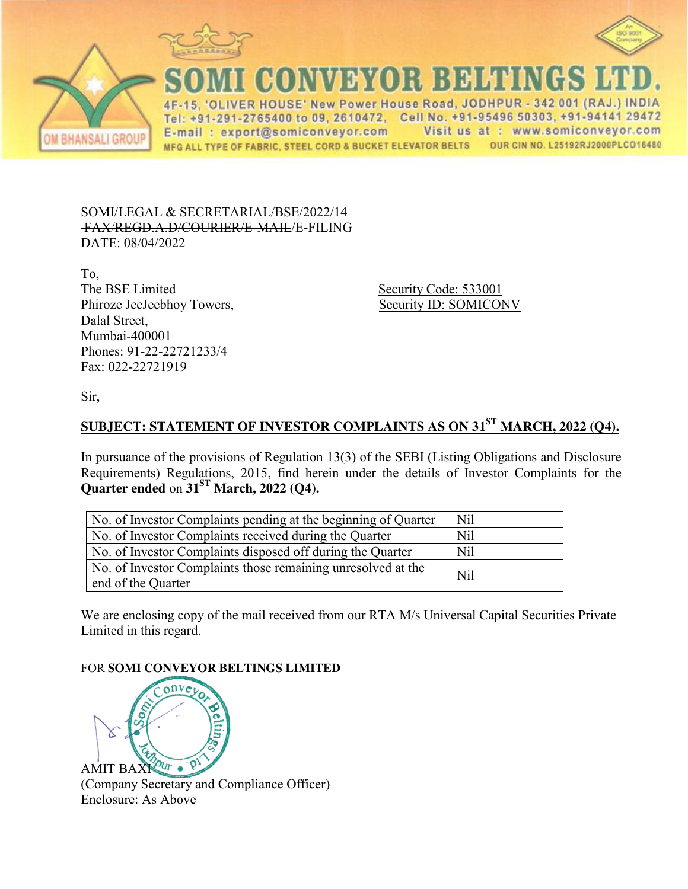





CONVEYOR BEHTIN

ER HOUSE' New Power House Road, JODHPUR - 342 001 (RAJ.) INDIA Tel: +91-291-2765400 to 09, 2610472, Cell No. +91-95496 50303, +91-94141 29472 Visit us at : www.somiconveyor.com E-mail: export@somiconveyor.com MFG ALL TYPE OF FABRIC, STEEL CORD & BUCKET ELEVATOR BELTS OUR CIN NO. L25192RJ2000PLCO16480

SOMI/LEGAL & SECRETARIAL/BSE/2022/14 FAX/REGD.A.D/COURIER/E-MAIL/E-FILING DATE: 08/04/2022

To, The BSE Limited Security Code: 533001 Phiroze JeeJeebhoy Towers, Security ID: SOMICONV Dalal Street, Mumbai-400001 Phones: 91-22-22721233/4 Fax: 022-22721919

Sir,

## **SUBJECT: STATEMENT OF INVESTOR COMPLAINTS AS ON 31ST MARCH, 2022 (Q4).**

In pursuance of the provisions of Regulation 13(3) of the SEBI (Listing Obligations and Disclosure Requirements) Regulations, 2015, find herein under the details of Investor Complaints for the **Quarter ended** on **31ST March, 2022 (Q4).**

| No. of Investor Complaints pending at the beginning of Quarter                     | Nil        |
|------------------------------------------------------------------------------------|------------|
| No. of Investor Complaints received during the Quarter                             | <b>Nil</b> |
| No. of Investor Complaints disposed off during the Quarter                         | Nil        |
| No. of Investor Complaints those remaining unresolved at the<br>end of the Quarter | Nil        |

We are enclosing copy of the mail received from our RTA M/s Universal Capital Securities Private Limited in this regard.

## FOR **SOMI CONVEYOR BELTINGS LIMITED**



(Company Secretary and Compliance Officer) Enclosure: As Above